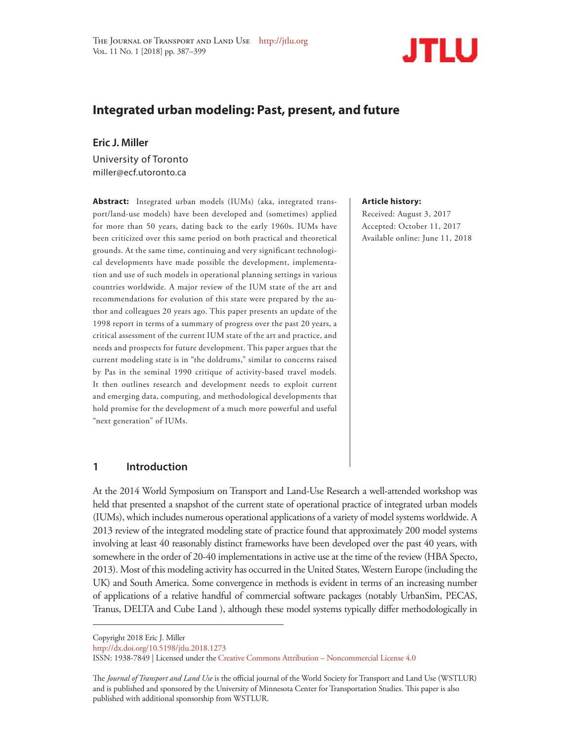

# **Integrated urban modeling: Past, present, and future**

# **Eric J. Miller**

University of Toronto miller@ecf.utoronto.ca

**Abstract:** Integrated urban models (IUMs) (aka, integrated transport/land-use models) have been developed and (sometimes) applied for more than 50 years, dating back to the early 1960s. IUMs have been criticized over this same period on both practical and theoretical grounds. At the same time, continuing and very significant technological developments have made possible the development, implementation and use of such models in operational planning settings in various countries worldwide. A major review of the IUM state of the art and recommendations for evolution of this state were prepared by the author and colleagues 20 years ago. This paper presents an update of the 1998 report in terms of a summary of progress over the past 20 years, a critical assessment of the current IUM state of the art and practice, and needs and prospects for future development. This paper argues that the current modeling state is in "the doldrums," similar to concerns raised by Pas in the seminal 1990 critique of activity-based travel models. It then outlines research and development needs to exploit current and emerging data, computing, and methodological developments that hold promise for the development of a much more powerful and useful "next generation" of IUMs.

#### **Article history:**

Received: August 3, 2017 Accepted: October 11, 2017 Available online: June 11, 2018

## **1 Introduction**

At the 2014 World Symposium on Transport and Land-Use Research a well-attended workshop was held that presented a snapshot of the current state of operational practice of integrated urban models (IUMs), which includes numerous operational applications of a variety of model systems worldwide. A 2013 review of the integrated modeling state of practice found that approximately 200 model systems involving at least 40 reasonably distinct frameworks have been developed over the past 40 years, with somewhere in the order of 20-40 implementations in active use at the time of the review (HBA Specto, 2013). Most of this modeling activity has occurred in the United States, Western Europe (including the UK) and South America. Some convergence in methods is evident in terms of an increasing number of applications of a relative handful of commercial software packages (notably UrbanSim, PECAS, Tranus, DELTA and Cube Land ), although these model systems typically differ methodologically in

Copyright 2018 Eric J. Miller

http://dx.doi.org/10.5198/jtlu.2018.1273

The *Journal of Transport and Land Use* is the official journal of the World Society for Transport and Land Use (WSTLUR) and is published and sponsored by the University of Minnesota Center for Transportation Studies. This paper is also published with additional sponsorship from WSTLUR.

ISSN: 1938-7849 | Licensed under the Creative Commons Attribution – Noncommercial License 4.0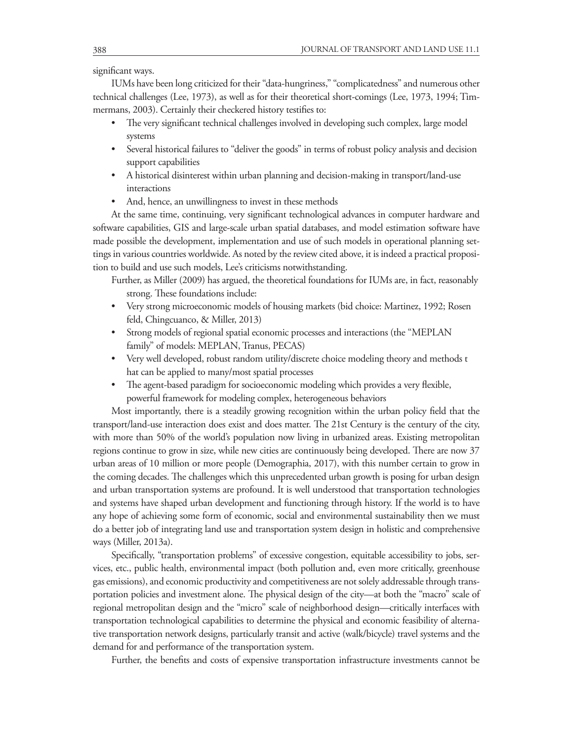significant ways.

IUMs have been long criticized for their "data-hungriness," "complicatedness" and numerous other technical challenges (Lee, 1973), as well as for their theoretical short-comings (Lee, 1973, 1994; Timmermans, 2003). Certainly their checkered history testifies to:

- The very significant technical challenges involved in developing such complex, large model systems
- Several historical failures to "deliver the goods" in terms of robust policy analysis and decision support capabilities
- A historical disinterest within urban planning and decision-making in transport/land-use interactions
- And, hence, an unwillingness to invest in these methods

At the same time, continuing, very significant technological advances in computer hardware and software capabilities, GIS and large-scale urban spatial databases, and model estimation software have made possible the development, implementation and use of such models in operational planning settings in various countries worldwide. As noted by the review cited above, it is indeed a practical proposition to build and use such models, Lee's criticisms notwithstanding.

Further, as Miller (2009) has argued, the theoretical foundations for IUMs are, in fact, reasonably strong. These foundations include:

- Very strong microeconomic models of housing markets (bid choice: Martinez, 1992; Rosen feld, Chingcuanco, & Miller, 2013)
- Strong models of regional spatial economic processes and interactions (the "MEPLAN family" of models: MEPLAN, Tranus, PECAS)
- Very well developed, robust random utility/discrete choice modeling theory and methods t hat can be applied to many/most spatial processes
- The agent-based paradigm for socioeconomic modeling which provides a very flexible, powerful framework for modeling complex, heterogeneous behaviors

Most importantly, there is a steadily growing recognition within the urban policy field that the transport/land-use interaction does exist and does matter. The 21st Century is the century of the city, with more than 50% of the world's population now living in urbanized areas. Existing metropolitan regions continue to grow in size, while new cities are continuously being developed. There are now 37 urban areas of 10 million or more people (Demographia, 2017), with this number certain to grow in the coming decades. The challenges which this unprecedented urban growth is posing for urban design and urban transportation systems are profound. It is well understood that transportation technologies and systems have shaped urban development and functioning through history. If the world is to have any hope of achieving some form of economic, social and environmental sustainability then we must do a better job of integrating land use and transportation system design in holistic and comprehensive ways (Miller, 2013a).

Specifically, "transportation problems" of excessive congestion, equitable accessibility to jobs, services, etc., public health, environmental impact (both pollution and, even more critically, greenhouse gas emissions), and economic productivity and competitiveness are not solely addressable through transportation policies and investment alone. The physical design of the city—at both the "macro" scale of regional metropolitan design and the "micro" scale of neighborhood design—critically interfaces with transportation technological capabilities to determine the physical and economic feasibility of alternative transportation network designs, particularly transit and active (walk/bicycle) travel systems and the demand for and performance of the transportation system.

Further, the benefits and costs of expensive transportation infrastructure investments cannot be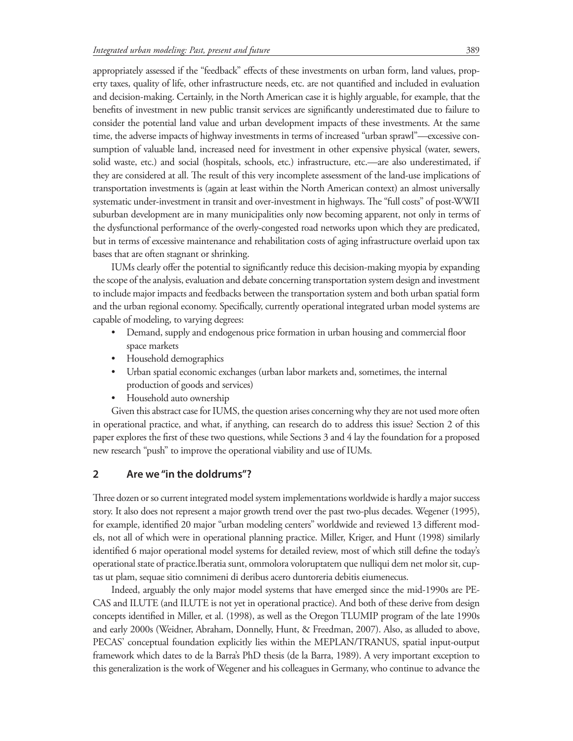appropriately assessed if the "feedback" effects of these investments on urban form, land values, property taxes, quality of life, other infrastructure needs, etc. are not quantified and included in evaluation and decision-making. Certainly, in the North American case it is highly arguable, for example, that the benefits of investment in new public transit services are significantly underestimated due to failure to consider the potential land value and urban development impacts of these investments. At the same time, the adverse impacts of highway investments in terms of increased "urban sprawl"—excessive consumption of valuable land, increased need for investment in other expensive physical (water, sewers, solid waste, etc.) and social (hospitals, schools, etc.) infrastructure, etc.—are also underestimated, if they are considered at all. The result of this very incomplete assessment of the land-use implications of transportation investments is (again at least within the North American context) an almost universally systematic under-investment in transit and over-investment in highways. The "full costs" of post-WWII suburban development are in many municipalities only now becoming apparent, not only in terms of the dysfunctional performance of the overly-congested road networks upon which they are predicated, but in terms of excessive maintenance and rehabilitation costs of aging infrastructure overlaid upon tax bases that are often stagnant or shrinking.

IUMs clearly offer the potential to significantly reduce this decision-making myopia by expanding the scope of the analysis, evaluation and debate concerning transportation system design and investment to include major impacts and feedbacks between the transportation system and both urban spatial form and the urban regional economy. Specifically, currently operational integrated urban model systems are capable of modeling, to varying degrees:

- Demand, supply and endogenous price formation in urban housing and commercial floor space markets
- Household demographics
- Urban spatial economic exchanges (urban labor markets and, sometimes, the internal production of goods and services)
- Household auto ownership

Given this abstract case for IUMS, the question arises concerning why they are not used more often in operational practice, and what, if anything, can research do to address this issue? Section 2 of this paper explores the first of these two questions, while Sections 3 and 4 lay the foundation for a proposed new research "push" to improve the operational viability and use of IUMs.

## **2 Are we "in the doldrums"?**

Three dozen or so current integrated model system implementations worldwide is hardly a major success story. It also does not represent a major growth trend over the past two-plus decades. Wegener (1995), for example, identified 20 major "urban modeling centers" worldwide and reviewed 13 different models, not all of which were in operational planning practice. Miller, Kriger, and Hunt (1998) similarly identified 6 major operational model systems for detailed review, most of which still define the today's operational state of practice.Iberatia sunt, ommolora voloruptatem que nulliqui dem net molor sit, cuptas ut plam, sequae sitio comnimeni di deribus acero duntoreria debitis eiumenecus.

Indeed, arguably the only major model systems that have emerged since the mid-1990s are PE-CAS and ILUTE (and ILUTE is not yet in operational practice). And both of these derive from design concepts identified in Miller, et al. (1998), as well as the Oregon TLUMIP program of the late 1990s and early 2000s (Weidner, Abraham, Donnelly, Hunt, & Freedman, 2007). Also, as alluded to above, PECAS' conceptual foundation explicitly lies within the MEPLAN/TRANUS, spatial input-output framework which dates to de la Barra's PhD thesis (de la Barra, 1989). A very important exception to this generalization is the work of Wegener and his colleagues in Germany, who continue to advance the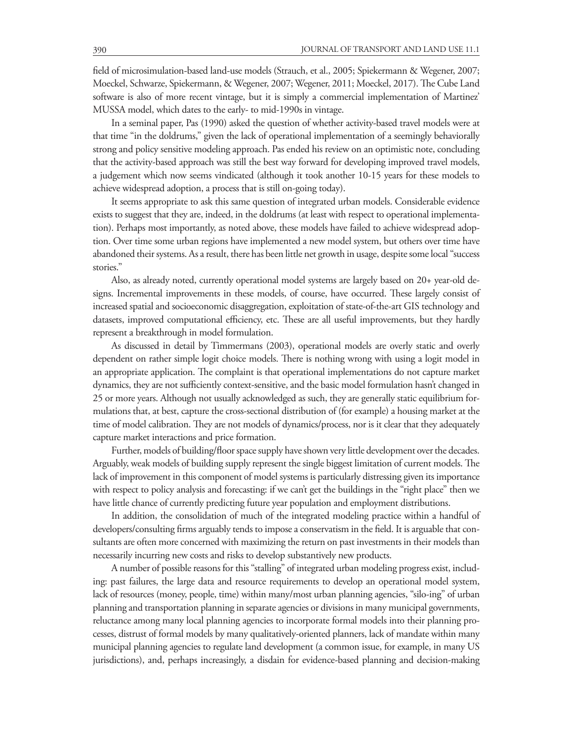field of microsimulation-based land-use models (Strauch, et al., 2005; Spiekermann & Wegener, 2007; Moeckel, Schwarze, Spiekermann, & Wegener, 2007; Wegener, 2011; Moeckel, 2017). The Cube Land software is also of more recent vintage, but it is simply a commercial implementation of Martinez' MUSSA model, which dates to the early- to mid-1990s in vintage.

In a seminal paper, Pas (1990) asked the question of whether activity-based travel models were at that time "in the doldrums," given the lack of operational implementation of a seemingly behaviorally strong and policy sensitive modeling approach. Pas ended his review on an optimistic note, concluding that the activity-based approach was still the best way forward for developing improved travel models, a judgement which now seems vindicated (although it took another 10-15 years for these models to achieve widespread adoption, a process that is still on-going today).

It seems appropriate to ask this same question of integrated urban models. Considerable evidence exists to suggest that they are, indeed, in the doldrums (at least with respect to operational implementation). Perhaps most importantly, as noted above, these models have failed to achieve widespread adoption. Over time some urban regions have implemented a new model system, but others over time have abandoned their systems. As a result, there has been little net growth in usage, despite some local "success stories."

Also, as already noted, currently operational model systems are largely based on 20+ year-old designs. Incremental improvements in these models, of course, have occurred. These largely consist of increased spatial and socioeconomic disaggregation, exploitation of state-of-the-art GIS technology and datasets, improved computational efficiency, etc. These are all useful improvements, but they hardly represent a breakthrough in model formulation.

As discussed in detail by Timmermans (2003), operational models are overly static and overly dependent on rather simple logit choice models. There is nothing wrong with using a logit model in an appropriate application. The complaint is that operational implementations do not capture market dynamics, they are not sufficiently context-sensitive, and the basic model formulation hasn't changed in 25 or more years. Although not usually acknowledged as such, they are generally static equilibrium formulations that, at best, capture the cross-sectional distribution of (for example) a housing market at the time of model calibration. They are not models of dynamics/process, nor is it clear that they adequately capture market interactions and price formation.

Further, models of building/floor space supply have shown very little development over the decades. Arguably, weak models of building supply represent the single biggest limitation of current models. The lack of improvement in this component of model systems is particularly distressing given its importance with respect to policy analysis and forecasting: if we can't get the buildings in the "right place" then we have little chance of currently predicting future year population and employment distributions.

In addition, the consolidation of much of the integrated modeling practice within a handful of developers/consulting firms arguably tends to impose a conservatism in the field. It is arguable that consultants are often more concerned with maximizing the return on past investments in their models than necessarily incurring new costs and risks to develop substantively new products.

A number of possible reasons for this "stalling" of integrated urban modeling progress exist, including: past failures, the large data and resource requirements to develop an operational model system, lack of resources (money, people, time) within many/most urban planning agencies, "silo-ing" of urban planning and transportation planning in separate agencies or divisions in many municipal governments, reluctance among many local planning agencies to incorporate formal models into their planning processes, distrust of formal models by many qualitatively-oriented planners, lack of mandate within many municipal planning agencies to regulate land development (a common issue, for example, in many US jurisdictions), and, perhaps increasingly, a disdain for evidence-based planning and decision-making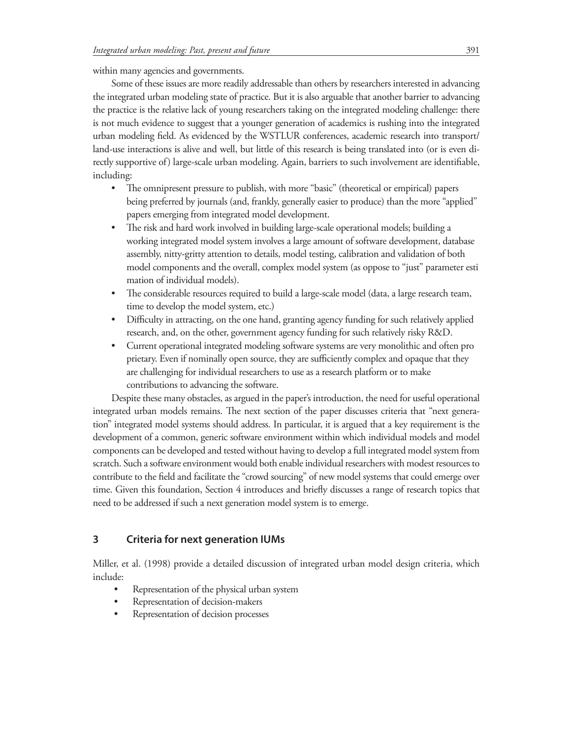#### within many agencies and governments.

Some of these issues are more readily addressable than others by researchers interested in advancing the integrated urban modeling state of practice. But it is also arguable that another barrier to advancing the practice is the relative lack of young researchers taking on the integrated modeling challenge: there is not much evidence to suggest that a younger generation of academics is rushing into the integrated urban modeling field. As evidenced by the WSTLUR conferences, academic research into transport/ land-use interactions is alive and well, but little of this research is being translated into (or is even directly supportive of) large-scale urban modeling. Again, barriers to such involvement are identifiable, including:

- The omnipresent pressure to publish, with more "basic" (theoretical or empirical) papers being preferred by journals (and, frankly, generally easier to produce) than the more "applied" papers emerging from integrated model development.
- The risk and hard work involved in building large-scale operational models; building a working integrated model system involves a large amount of software development, database assembly, nitty-gritty attention to details, model testing, calibration and validation of both model components and the overall, complex model system (as oppose to "just" parameter esti mation of individual models).
- The considerable resources required to build a large-scale model (data, a large research team, time to develop the model system, etc.)
- Difficulty in attracting, on the one hand, granting agency funding for such relatively applied research, and, on the other, government agency funding for such relatively risky R&D.
- Current operational integrated modeling software systems are very monolithic and often pro prietary. Even if nominally open source, they are sufficiently complex and opaque that they are challenging for individual researchers to use as a research platform or to make contributions to advancing the software.

Despite these many obstacles, as argued in the paper's introduction, the need for useful operational integrated urban models remains. The next section of the paper discusses criteria that "next generation" integrated model systems should address. In particular, it is argued that a key requirement is the development of a common, generic software environment within which individual models and model components can be developed and tested without having to develop a full integrated model system from scratch. Such a software environment would both enable individual researchers with modest resources to contribute to the field and facilitate the "crowd sourcing" of new model systems that could emerge over time. Given this foundation, Section 4 introduces and briefly discusses a range of research topics that need to be addressed if such a next generation model system is to emerge.

# **3 Criteria for next generation IUMs**

Miller, et al. (1998) provide a detailed discussion of integrated urban model design criteria, which include:

- Representation of the physical urban system
- Representation of decision-makers
- Representation of decision processes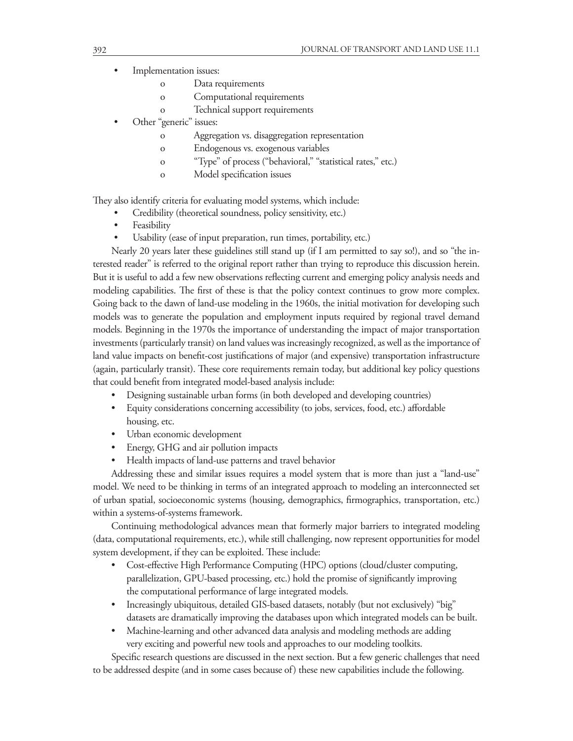- Implementation issues:
	- o Data requirements
	- o Computational requirements
	- o Technical support requirements
- Other "generic" issues:
	- o Aggregation vs. disaggregation representation
	- o Endogenous vs. exogenous variables
	- o "Type" of process ("behavioral," "statistical rates," etc.)
	- o Model specification issues

They also identify criteria for evaluating model systems, which include:

- Credibility (theoretical soundness, policy sensitivity, etc.)
- **Feasibility**
- Usability (ease of input preparation, run times, portability, etc.)

Nearly 20 years later these guidelines still stand up (if I am permitted to say so!), and so "the interested reader" is referred to the original report rather than trying to reproduce this discussion herein. But it is useful to add a few new observations reflecting current and emerging policy analysis needs and modeling capabilities. The first of these is that the policy context continues to grow more complex. Going back to the dawn of land-use modeling in the 1960s, the initial motivation for developing such models was to generate the population and employment inputs required by regional travel demand models. Beginning in the 1970s the importance of understanding the impact of major transportation investments (particularly transit) on land values was increasingly recognized, as well as the importance of land value impacts on benefit-cost justifications of major (and expensive) transportation infrastructure (again, particularly transit). These core requirements remain today, but additional key policy questions that could benefit from integrated model-based analysis include:

- Designing sustainable urban forms (in both developed and developing countries)
- Equity considerations concerning accessibility (to jobs, services, food, etc.) affordable housing, etc.
- Urban economic development
- Energy, GHG and air pollution impacts
- Health impacts of land-use patterns and travel behavior

Addressing these and similar issues requires a model system that is more than just a "land-use" model. We need to be thinking in terms of an integrated approach to modeling an interconnected set of urban spatial, socioeconomic systems (housing, demographics, firmographics, transportation, etc.) within a systems-of-systems framework.

Continuing methodological advances mean that formerly major barriers to integrated modeling (data, computational requirements, etc.), while still challenging, now represent opportunities for model system development, if they can be exploited. These include:

- Cost-effective High Performance Computing (HPC) options (cloud/cluster computing, parallelization, GPU-based processing, etc.) hold the promise of significantly improving the computational performance of large integrated models.
- Increasingly ubiquitous, detailed GIS-based datasets, notably (but not exclusively) "big" datasets are dramatically improving the databases upon which integrated models can be built.
- Machine-learning and other advanced data analysis and modeling methods are adding very exciting and powerful new tools and approaches to our modeling toolkits.

Specific research questions are discussed in the next section. But a few generic challenges that need to be addressed despite (and in some cases because of) these new capabilities include the following.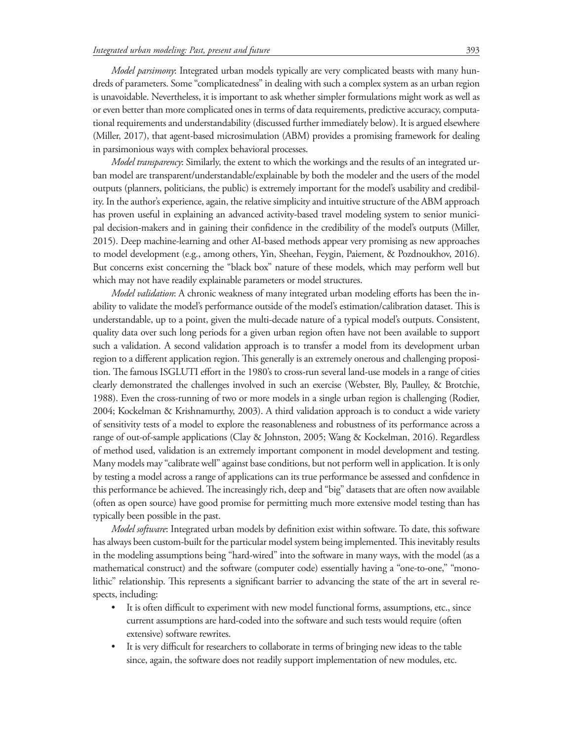*Model parsimony*: Integrated urban models typically are very complicated beasts with many hundreds of parameters. Some "complicatedness" in dealing with such a complex system as an urban region is unavoidable. Nevertheless, it is important to ask whether simpler formulations might work as well as or even better than more complicated ones in terms of data requirements, predictive accuracy, computational requirements and understandability (discussed further immediately below). It is argued elsewhere (Miller, 2017), that agent-based microsimulation (ABM) provides a promising framework for dealing in parsimonious ways with complex behavioral processes.

*Model transparency*: Similarly, the extent to which the workings and the results of an integrated urban model are transparent/understandable/explainable by both the modeler and the users of the model outputs (planners, politicians, the public) is extremely important for the model's usability and credibility. In the author's experience, again, the relative simplicity and intuitive structure of the ABM approach has proven useful in explaining an advanced activity-based travel modeling system to senior municipal decision-makers and in gaining their confidence in the credibility of the model's outputs (Miller, 2015). Deep machine-learning and other AI-based methods appear very promising as new approaches to model development (e.g., among others, Yin, Sheehan, Feygin, Paiement, & Pozdnoukhov, 2016). But concerns exist concerning the "black box" nature of these models, which may perform well but which may not have readily explainable parameters or model structures.

*Model validation*: A chronic weakness of many integrated urban modeling efforts has been the inability to validate the model's performance outside of the model's estimation/calibration dataset. This is understandable, up to a point, given the multi-decade nature of a typical model's outputs. Consistent, quality data over such long periods for a given urban region often have not been available to support such a validation. A second validation approach is to transfer a model from its development urban region to a different application region. This generally is an extremely onerous and challenging proposition. The famous ISGLUTI effort in the 1980's to cross-run several land-use models in a range of cities clearly demonstrated the challenges involved in such an exercise (Webster, Bly, Paulley, & Brotchie, 1988). Even the cross-running of two or more models in a single urban region is challenging (Rodier, 2004; Kockelman & Krishnamurthy, 2003). A third validation approach is to conduct a wide variety of sensitivity tests of a model to explore the reasonableness and robustness of its performance across a range of out-of-sample applications (Clay & Johnston, 2005; Wang & Kockelman, 2016). Regardless of method used, validation is an extremely important component in model development and testing. Many models may "calibrate well" against base conditions, but not perform well in application. It is only by testing a model across a range of applications can its true performance be assessed and confidence in this performance be achieved. The increasingly rich, deep and "big" datasets that are often now available (often as open source) have good promise for permitting much more extensive model testing than has typically been possible in the past.

*Model software*: Integrated urban models by definition exist within software. To date, this software has always been custom-built for the particular model system being implemented. This inevitably results in the modeling assumptions being "hard-wired" into the software in many ways, with the model (as a mathematical construct) and the software (computer code) essentially having a "one-to-one," "monolithic" relationship. This represents a significant barrier to advancing the state of the art in several respects, including:

- It is often difficult to experiment with new model functional forms, assumptions, etc., since current assumptions are hard-coded into the software and such tests would require (often extensive) software rewrites.
- It is very difficult for researchers to collaborate in terms of bringing new ideas to the table since, again, the software does not readily support implementation of new modules, etc.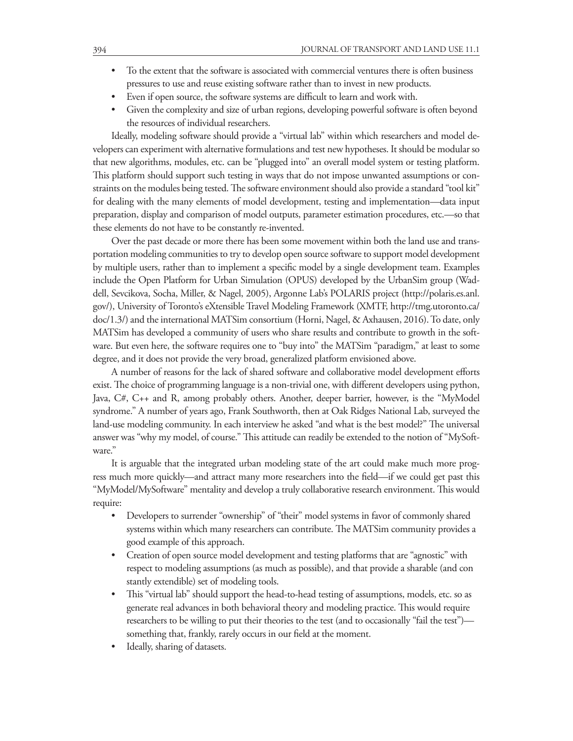- To the extent that the software is associated with commercial ventures there is often business pressures to use and reuse existing software rather than to invest in new products.
- Even if open source, the software systems are difficult to learn and work with.
- Given the complexity and size of urban regions, developing powerful software is often beyond the resources of individual researchers.

Ideally, modeling software should provide a "virtual lab" within which researchers and model developers can experiment with alternative formulations and test new hypotheses. It should be modular so that new algorithms, modules, etc. can be "plugged into" an overall model system or testing platform. This platform should support such testing in ways that do not impose unwanted assumptions or constraints on the modules being tested. The software environment should also provide a standard "tool kit" for dealing with the many elements of model development, testing and implementation—data input preparation, display and comparison of model outputs, parameter estimation procedures, etc.—so that these elements do not have to be constantly re-invented.

Over the past decade or more there has been some movement within both the land use and transportation modeling communities to try to develop open source software to support model development by multiple users, rather than to implement a specific model by a single development team. Examples include the Open Platform for Urban Simulation (OPUS) developed by the UrbanSim group (Waddell, Sevcikova, Socha, Miller, & Nagel, 2005), Argonne Lab's POLARIS project (http://polaris.es.anl. gov/), University of Toronto's eXtensible Travel Modeling Framework (XMTF, http://tmg.utoronto.ca/ doc/1.3/) and the international MATSim consortium (Horni, Nagel, & Axhausen, 2016). To date, only MATSim has developed a community of users who share results and contribute to growth in the software. But even here, the software requires one to "buy into" the MATSim "paradigm," at least to some degree, and it does not provide the very broad, generalized platform envisioned above.

A number of reasons for the lack of shared software and collaborative model development efforts exist. The choice of programming language is a non-trivial one, with different developers using python, Java, C#, C++ and R, among probably others. Another, deeper barrier, however, is the "MyModel syndrome." A number of years ago, Frank Southworth, then at Oak Ridges National Lab, surveyed the land-use modeling community. In each interview he asked "and what is the best model?" The universal answer was "why my model, of course." This attitude can readily be extended to the notion of "MySoftware."

It is arguable that the integrated urban modeling state of the art could make much more progress much more quickly—and attract many more researchers into the field—if we could get past this "MyModel/MySoftware" mentality and develop a truly collaborative research environment. This would require:

- Developers to surrender "ownership" of "their" model systems in favor of commonly shared systems within which many researchers can contribute. The MATSim community provides a good example of this approach.
- Creation of open source model development and testing platforms that are "agnostic" with respect to modeling assumptions (as much as possible), and that provide a sharable (and con stantly extendible) set of modeling tools.
- This "virtual lab" should support the head-to-head testing of assumptions, models, etc. so as generate real advances in both behavioral theory and modeling practice. This would require researchers to be willing to put their theories to the test (and to occasionally "fail the test") something that, frankly, rarely occurs in our field at the moment.
- Ideally, sharing of datasets.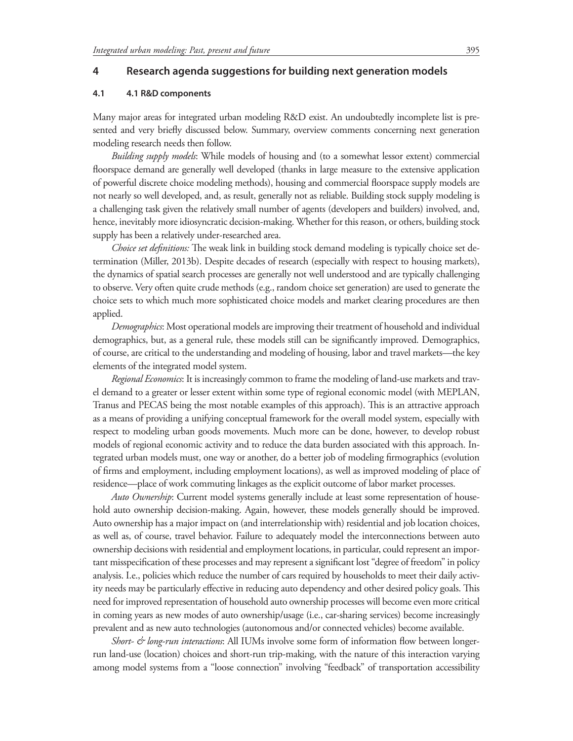## **4 Research agenda suggestions for building next generation models**

#### **4.1 4.1 R&D components**

Many major areas for integrated urban modeling R&D exist. An undoubtedly incomplete list is presented and very briefly discussed below. Summary, overview comments concerning next generation modeling research needs then follow.

*Building supply models*: While models of housing and (to a somewhat lessor extent) commercial floorspace demand are generally well developed (thanks in large measure to the extensive application of powerful discrete choice modeling methods), housing and commercial floorspace supply models are not nearly so well developed, and, as result, generally not as reliable. Building stock supply modeling is a challenging task given the relatively small number of agents (developers and builders) involved, and, hence, inevitably more idiosyncratic decision-making. Whether for this reason, or others, building stock supply has been a relatively under-researched area.

*Choice set definitions:* The weak link in building stock demand modeling is typically choice set determination (Miller, 2013b). Despite decades of research (especially with respect to housing markets), the dynamics of spatial search processes are generally not well understood and are typically challenging to observe. Very often quite crude methods (e.g., random choice set generation) are used to generate the choice sets to which much more sophisticated choice models and market clearing procedures are then applied.

*Demographics*: Most operational models are improving their treatment of household and individual demographics, but, as a general rule, these models still can be significantly improved. Demographics, of course, are critical to the understanding and modeling of housing, labor and travel markets—the key elements of the integrated model system.

*Regional Economics*: It is increasingly common to frame the modeling of land-use markets and travel demand to a greater or lesser extent within some type of regional economic model (with MEPLAN, Tranus and PECAS being the most notable examples of this approach). This is an attractive approach as a means of providing a unifying conceptual framework for the overall model system, especially with respect to modeling urban goods movements. Much more can be done, however, to develop robust models of regional economic activity and to reduce the data burden associated with this approach. Integrated urban models must, one way or another, do a better job of modeling firmographics (evolution of firms and employment, including employment locations), as well as improved modeling of place of residence—place of work commuting linkages as the explicit outcome of labor market processes.

*Auto Ownership*: Current model systems generally include at least some representation of household auto ownership decision-making. Again, however, these models generally should be improved. Auto ownership has a major impact on (and interrelationship with) residential and job location choices, as well as, of course, travel behavior. Failure to adequately model the interconnections between auto ownership decisions with residential and employment locations, in particular, could represent an important misspecification of these processes and may represent a significant lost "degree of freedom" in policy analysis. I.e., policies which reduce the number of cars required by households to meet their daily activity needs may be particularly effective in reducing auto dependency and other desired policy goals. This need for improved representation of household auto ownership processes will become even more critical in coming years as new modes of auto ownership/usage (i.e., car-sharing services) become increasingly prevalent and as new auto technologies (autonomous and/or connected vehicles) become available.

*Short- & long-run interactions*: All IUMs involve some form of information flow between longerrun land-use (location) choices and short-run trip-making, with the nature of this interaction varying among model systems from a "loose connection" involving "feedback" of transportation accessibility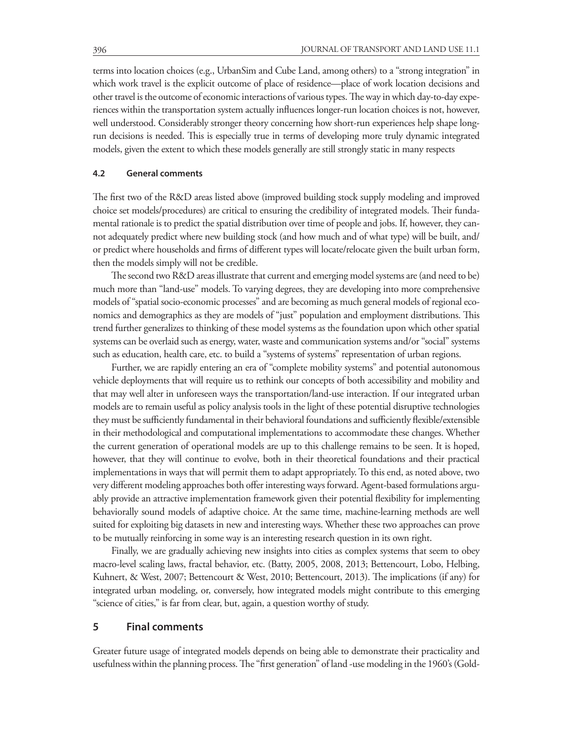terms into location choices (e.g., UrbanSim and Cube Land, among others) to a "strong integration" in which work travel is the explicit outcome of place of residence—place of work location decisions and other travel is the outcome of economic interactions of various types. The way in which day-to-day experiences within the transportation system actually influences longer-run location choices is not, however, well understood. Considerably stronger theory concerning how short-run experiences help shape longrun decisions is needed. This is especially true in terms of developing more truly dynamic integrated models, given the extent to which these models generally are still strongly static in many respects

#### **4.2 General comments**

The first two of the R&D areas listed above (improved building stock supply modeling and improved choice set models/procedures) are critical to ensuring the credibility of integrated models. Their fundamental rationale is to predict the spatial distribution over time of people and jobs. If, however, they cannot adequately predict where new building stock (and how much and of what type) will be built, and/ or predict where households and firms of different types will locate/relocate given the built urban form, then the models simply will not be credible.

The second two R&D areas illustrate that current and emerging model systems are (and need to be) much more than "land-use" models. To varying degrees, they are developing into more comprehensive models of "spatial socio-economic processes" and are becoming as much general models of regional economics and demographics as they are models of "just" population and employment distributions. This trend further generalizes to thinking of these model systems as the foundation upon which other spatial systems can be overlaid such as energy, water, waste and communication systems and/or "social" systems such as education, health care, etc. to build a "systems of systems" representation of urban regions.

Further, we are rapidly entering an era of "complete mobility systems" and potential autonomous vehicle deployments that will require us to rethink our concepts of both accessibility and mobility and that may well alter in unforeseen ways the transportation/land-use interaction. If our integrated urban models are to remain useful as policy analysis tools in the light of these potential disruptive technologies they must be sufficiently fundamental in their behavioral foundations and sufficiently flexible/extensible in their methodological and computational implementations to accommodate these changes. Whether the current generation of operational models are up to this challenge remains to be seen. It is hoped, however, that they will continue to evolve, both in their theoretical foundations and their practical implementations in ways that will permit them to adapt appropriately. To this end, as noted above, two very different modeling approaches both offer interesting ways forward. Agent-based formulations arguably provide an attractive implementation framework given their potential flexibility for implementing behaviorally sound models of adaptive choice. At the same time, machine-learning methods are well suited for exploiting big datasets in new and interesting ways. Whether these two approaches can prove to be mutually reinforcing in some way is an interesting research question in its own right.

Finally, we are gradually achieving new insights into cities as complex systems that seem to obey macro-level scaling laws, fractal behavior, etc. (Batty, 2005, 2008, 2013; Bettencourt, Lobo, Helbing, Kuhnert, & West, 2007; Bettencourt & West, 2010; Bettencourt, 2013). The implications (if any) for integrated urban modeling, or, conversely, how integrated models might contribute to this emerging "science of cities," is far from clear, but, again, a question worthy of study.

# **5 Final comments**

Greater future usage of integrated models depends on being able to demonstrate their practicality and usefulness within the planning process. The "first generation" of land -use modeling in the 1960's (Gold-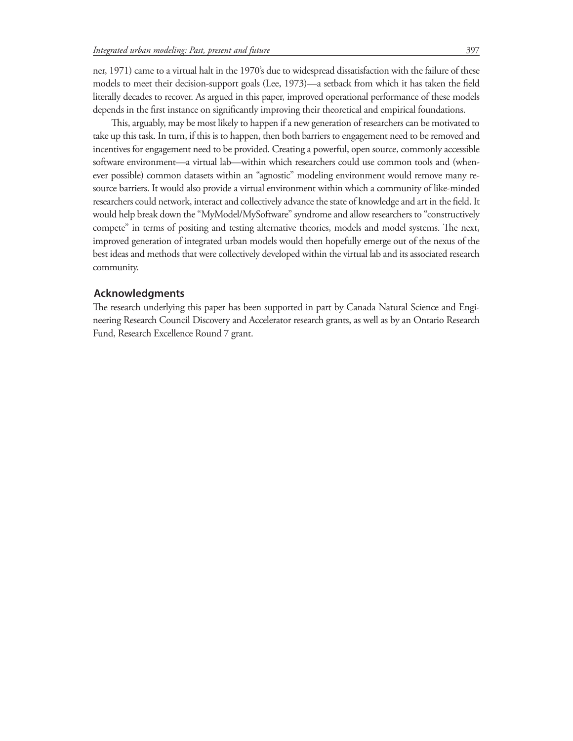ner, 1971) came to a virtual halt in the 1970's due to widespread dissatisfaction with the failure of these models to meet their decision-support goals (Lee, 1973)—a setback from which it has taken the field literally decades to recover. As argued in this paper, improved operational performance of these models depends in the first instance on significantly improving their theoretical and empirical foundations.

This, arguably, may be most likely to happen if a new generation of researchers can be motivated to take up this task. In turn, if this is to happen, then both barriers to engagement need to be removed and incentives for engagement need to be provided. Creating a powerful, open source, commonly accessible software environment—a virtual lab—within which researchers could use common tools and (whenever possible) common datasets within an "agnostic" modeling environment would remove many resource barriers. It would also provide a virtual environment within which a community of like-minded researchers could network, interact and collectively advance the state of knowledge and art in the field. It would help break down the "MyModel/MySoftware" syndrome and allow researchers to "constructively compete" in terms of positing and testing alternative theories, models and model systems. The next, improved generation of integrated urban models would then hopefully emerge out of the nexus of the best ideas and methods that were collectively developed within the virtual lab and its associated research community.

## **Acknowledgments**

The research underlying this paper has been supported in part by Canada Natural Science and Engineering Research Council Discovery and Accelerator research grants, as well as by an Ontario Research Fund, Research Excellence Round 7 grant.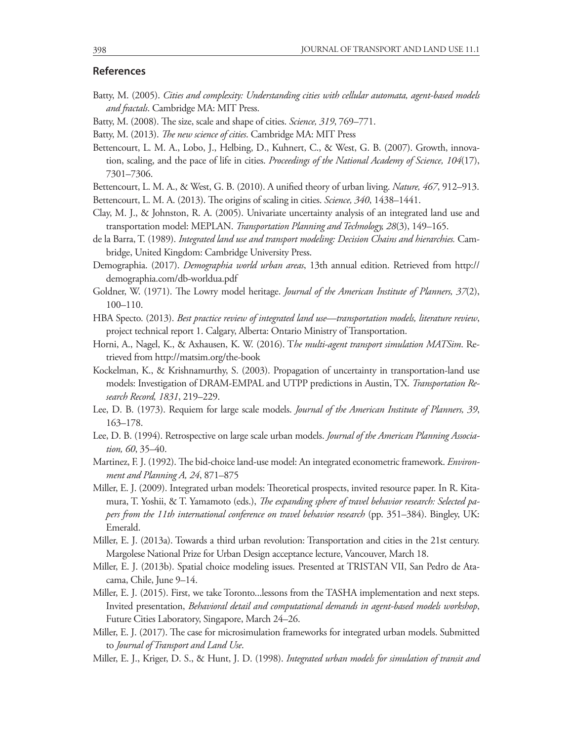### **References**

- Batty, M. (2005). *Cities and complexity: Understanding cities with cellular automata, agent-based models and fractals*. Cambridge MA: MIT Press.
- Batty, M. (2008). The size, scale and shape of cities. *Science, 319*, 769–771.
- Batty, M. (2013). *The new science of cities*. Cambridge MA: MIT Press
- Bettencourt, L. M. A., Lobo, J., Helbing, D., Kuhnert, C., & West, G. B. (2007). Growth, innovation, scaling, and the pace of life in cities. *Proceedings of the National Academy of Science, 104*(17), 7301–7306.
- Bettencourt, L. M. A., & West, G. B. (2010). A unified theory of urban living. *Nature, 467*, 912–913.

Bettencourt, L. M. A. (2013). The origins of scaling in cities. *Science, 340*, 1438–1441.

- Clay, M. J., & Johnston, R. A. (2005). Univariate uncertainty analysis of an integrated land use and transportation model: MEPLAN. *Transportation Planning and Technology, 28*(3), 149–165.
- de la Barra, T. (1989). *Integrated land use and transport modeling: Decision Chains and hierarchies.* Cambridge, United Kingdom: Cambridge University Press.
- Demographia. (2017). *Demographia world urban areas*, 13th annual edition. Retrieved from http:// demographia.com/db-worldua.pdf
- Goldner, W. (1971). The Lowry model heritage. *Journal of the American Institute of Planners, 37*(2), 100–110.
- HBA Specto. (2013). *Best practice review of integrated land use—transportation models, literature review*, project technical report 1. Calgary, Alberta: Ontario Ministry of Transportation.
- Horni, A., Nagel, K., & Axhausen, K. W. (2016). T*he multi-agent transport simulation MATSim*. Retrieved from http://matsim.org/the-book
- Kockelman, K., & Krishnamurthy, S. (2003). Propagation of uncertainty in transportation-land use models: Investigation of DRAM-EMPAL and UTPP predictions in Austin, TX. *Transportation Research Record, 1831*, 219–229.
- Lee, D. B. (1973). Requiem for large scale models. *Journal of the American Institute of Planners, 39*, 163–178.
- Lee, D. B. (1994). Retrospective on large scale urban models. *Journal of the American Planning Association, 60*, 35–40.
- Martinez, F. J. (1992). The bid-choice land-use model: An integrated econometric framework. *Environment and Planning A, 24*, 871–875
- Miller, E. J. (2009). Integrated urban models: Theoretical prospects, invited resource paper. In R. Kitamura, T. Yoshii, & T. Yamamoto (eds.), *The expanding sphere of travel behavior research: Selected papers from the 11th international conference on travel behavior research* (pp. 351–384). Bingley, UK: Emerald.
- Miller, E. J. (2013a). Towards a third urban revolution: Transportation and cities in the 21st century. Margolese National Prize for Urban Design acceptance lecture, Vancouver, March 18.
- Miller, E. J. (2013b). Spatial choice modeling issues. Presented at TRISTAN VII, San Pedro de Atacama, Chile, June 9–14.
- Miller, E. J. (2015). First, we take Toronto...lessons from the TASHA implementation and next steps. Invited presentation, *Behavioral detail and computational demands in agent-based models workshop*, Future Cities Laboratory, Singapore, March 24–26.
- Miller, E. J. (2017). The case for microsimulation frameworks for integrated urban models. Submitted to *Journal of Transport and Land Use*.
- Miller, E. J., Kriger, D. S., & Hunt, J. D. (1998). *Integrated urban models for simulation of transit and*